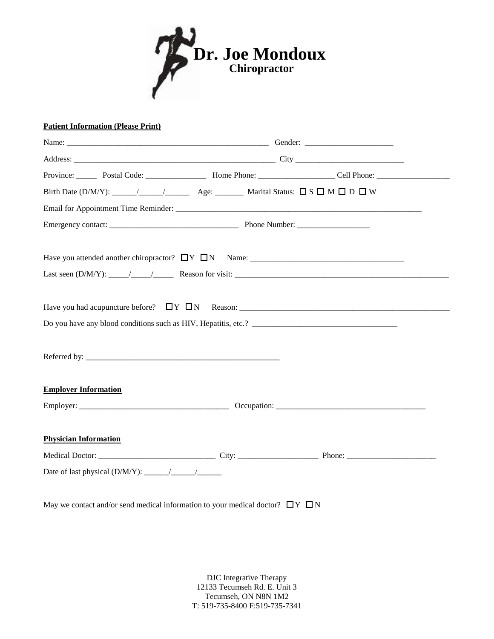

## **Patient Information (Please Print)**

| <b>Employer Information</b>  |  |  |  |  |  |  |  |  |
|------------------------------|--|--|--|--|--|--|--|--|
|                              |  |  |  |  |  |  |  |  |
| <b>Physician Information</b> |  |  |  |  |  |  |  |  |
|                              |  |  |  |  |  |  |  |  |
|                              |  |  |  |  |  |  |  |  |

May we contact and/or send medical information to your medical doctor?  $\Box Y \Box N$ 

DJC Integrative Therapy 12133 Tecumseh Rd. E. Unit 3 Tecumseh, ON N8N 1M2 T: 519-735-8400 F:519-735-7341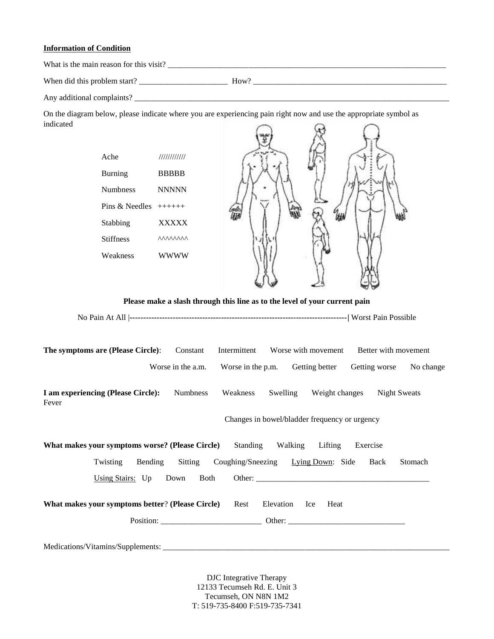## **Information of Condition**

What is the main reason for this visit? \_\_\_\_\_\_\_\_\_\_\_\_\_\_\_\_\_\_\_\_\_\_\_\_\_\_\_\_\_\_\_\_\_\_\_\_\_\_\_\_\_\_\_\_\_\_\_\_\_\_\_\_\_\_\_\_\_\_\_\_\_\_\_\_\_\_\_\_\_

When did this problem start? \_\_\_\_\_\_\_\_\_\_\_\_\_\_\_\_\_\_\_\_\_\_ How? \_\_\_\_\_\_\_\_\_\_\_\_\_\_\_\_\_\_\_\_\_\_\_\_\_\_\_\_\_\_\_\_\_\_\_\_\_\_\_\_\_\_\_\_\_\_\_\_

Any additional complaints? \_\_\_\_\_\_\_\_\_\_\_\_\_\_\_\_\_\_\_\_\_\_\_\_\_\_\_\_\_\_\_\_\_\_\_\_\_\_\_\_\_\_\_\_\_\_\_\_\_\_\_\_\_\_\_\_\_\_\_\_\_\_\_\_\_\_\_\_\_\_\_\_\_\_\_\_\_\_

On the diagram below, please indicate where you are experiencing pain right now and use the appropriate symbol as indicated  $\Theta$  $\Omega$  $\bigcap$ 

| Ache                                                                                 | 11111111111                   |                                               |                                                                                             |  |  |  |  |
|--------------------------------------------------------------------------------------|-------------------------------|-----------------------------------------------|---------------------------------------------------------------------------------------------|--|--|--|--|
| <b>Burning</b>                                                                       | <b>BBBBB</b>                  |                                               |                                                                                             |  |  |  |  |
| Numbness                                                                             | <b>NNNNN</b>                  |                                               |                                                                                             |  |  |  |  |
| Pins & Needles $++++++$                                                              |                               |                                               |                                                                                             |  |  |  |  |
| Stabbing                                                                             | <b>XXXXX</b>                  |                                               |                                                                                             |  |  |  |  |
| <b>Stiffness</b>                                                                     | <b>AAAAAAAA</b>               |                                               |                                                                                             |  |  |  |  |
| Weakness                                                                             | <b>WWWW</b>                   |                                               |                                                                                             |  |  |  |  |
| Please make a slash through this line as to the level of your current pain           |                               |                                               |                                                                                             |  |  |  |  |
|                                                                                      |                               |                                               |                                                                                             |  |  |  |  |
| The symptoms are (Please Circle):                                                    | Constant<br>Worse in the a.m. | Intermittent<br>Worse in the p.m.             | Worse with movement<br>Better with movement<br>Getting better<br>Getting worse<br>No change |  |  |  |  |
| I am experiencing (Please Circle):<br>Fever                                          | Numbness                      | Weakness                                      | Swelling Weight changes Night Sweats                                                        |  |  |  |  |
|                                                                                      |                               | Changes in bowel/bladder frequency or urgency |                                                                                             |  |  |  |  |
| What makes your symptoms worse? (Please Circle)                                      |                               | Standing                                      | Walking Lifting<br>Exercise                                                                 |  |  |  |  |
| Bending<br>Twisting                                                                  | Sitting                       | Coughing/Sneezing Lying Down: Side            | Stomach<br>Back                                                                             |  |  |  |  |
| Using Stairs: Up                                                                     | Down<br>Both                  |                                               | Other:                                                                                      |  |  |  |  |
| What makes your symptoms better? (Please Circle)<br>Rest<br>Elevation<br>Ice<br>Heat |                               |                                               |                                                                                             |  |  |  |  |
|                                                                                      |                               |                                               |                                                                                             |  |  |  |  |
|                                                                                      |                               |                                               |                                                                                             |  |  |  |  |

DJC Integrative Therapy 12133 Tecumseh Rd. E. Unit 3 Tecumseh, ON N8N 1M2 T: 519-735-8400 F:519-735-7341